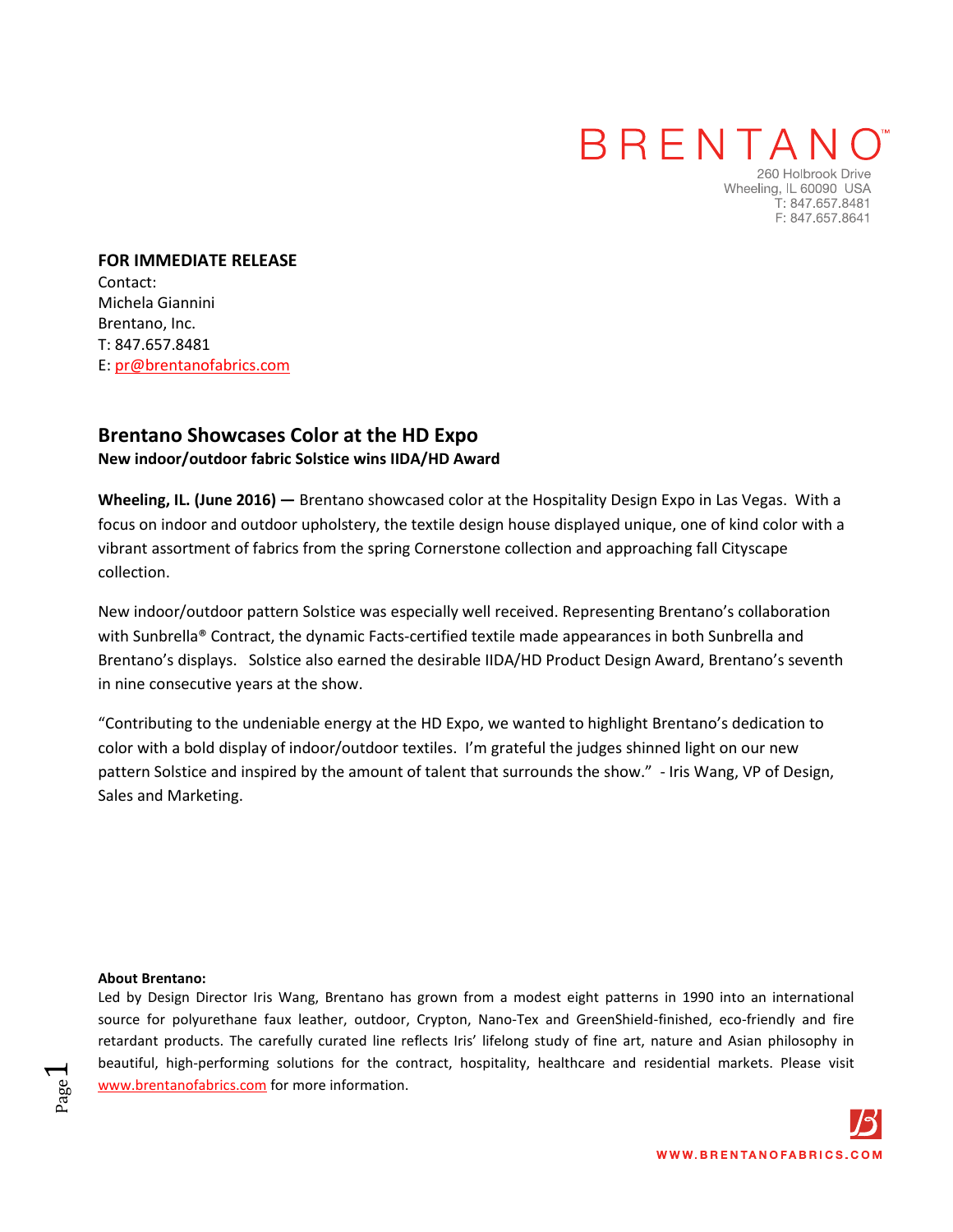## BRENTAN

260 Holbrook Drive Wheeling, IL 60090 USA T: 847.657.8481 F: 847.657.8641

**FOR IMMEDIATE RELEASE**  Contact: Michela Giannini Brentano, Inc. T: 847.657.8481 E: pr@brentanofabrics.com

### **[Brentano S](http://www.brentanofabrics.com/default.aspx)howcases Color at the HD Expo New indoor/outdoor fabric Solstice wins IIDA/HD Award**

**Wheeling, IL. (June 2016) —** [Brentano s](http://www.brentanofabrics.com/default.aspx)howcased color at the Hospitality Design Expo in Las Vegas. With a focus on indoor and outdoor upholstery, the textile design house displayed unique, one of kind color with a vibrant assortment of fabrics from the spring [Cornerstone collection a](http://www.brentanofabrics.com/fabrics/)nd approaching fall Cityscape collection.

New indoor/outdoor pattern Solstice was especially well received. Representing Brentano's collaboration with Sunbrella® Contract, the dynamic Facts-certified textile made appearances in both Sunbrella and Brentano's displays. Solstice also earned the desirable IIDA/HD Product Design Award, Brentano's seventh in nine consecutive years at the show.

"Contributing to the undeniable energy at the HD Expo, we wanted to highlight Brentano's dedication to color with a bold display of indoor/outdoor textiles. I'm grateful the judges shinned light on our new pattern Solstice and inspired by the amount of talent that surrounds the show." - Iris Wang, VP of Design, Sales and Marketing.

#### **About Brentano:**

Page  $\overline{\phantom{0}}$ 

Led by Design Director Iris Wang, Brentano has grown from a modest eight patterns in 1990 into an international source for polyurethane faux leather, outdoor, Crypton, Nano-Tex and GreenShield-finished, eco-friendly and fire retardant products. The carefully curated line reflects Iris' lifelong study of fine art, nature and Asian philosophy in beautiful, high-performing solutions for the contract, hospitality, healthcare and residential markets. Please visit [www.brentanofabrics.com f](http://www.brentanofabrics.com/default.aspx)or more information.